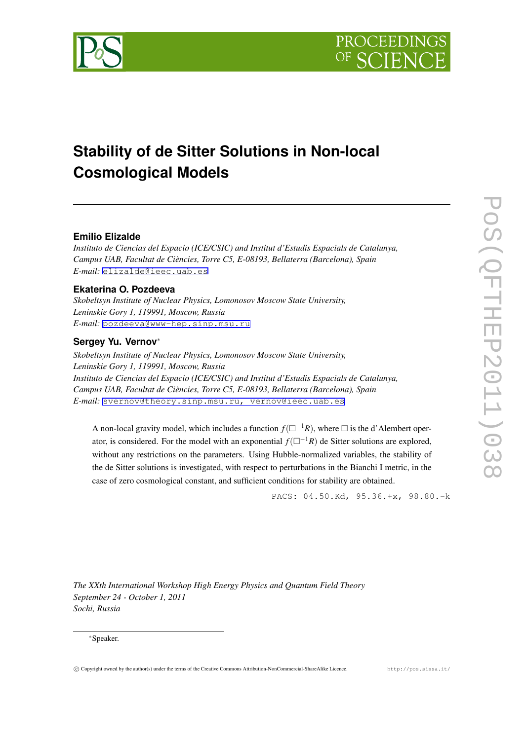



# **Stability of de Sitter Solutions in Non-local Cosmological Models**

# **Emilio Elizalde**

*Instituto de Ciencias del Espacio (ICE/CSIC) and Institut d'Estudis Espacials de Catalunya, Campus UAB, Facultat de Ciències, Torre C5, E-08193, Bellaterra (Barcelona), Spain E-mail:* [elizalde@ieec.uab.es](mailto:elizalde@ieec.uab.es)

### **Ekaterina O. Pozdeeva**

*Skobeltsyn Institute of Nuclear Physics, Lomonosov Moscow State University, Leninskie Gory 1, 119991, Moscow, Russia E-mail:* [pozdeeva@www-hep.sinp.msu.ru](mailto:pozdeeva@www-hep.sinp.msu.ru)

# **Sergey Yu. Vernov***∗*

*Skobeltsyn Institute of Nuclear Physics, Lomonosov Moscow State University, Leninskie Gory 1, 119991, Moscow, Russia Instituto de Ciencias del Espacio (ICE/CSIC) and Institut d'Estudis Espacials de Catalunya, Campus UAB, Facultat de Ciències, Torre C5, E-08193, Bellaterra (Barcelona), Spain E-mail:* [svernov@theory.sinp.msu.ru, vernov@ieec.uab.es](mailto:svernov@theory.sinp.msu.ru, vernov@ieec.uab.es)

A non-local gravity model, which includes a function  $f(\Box^{-1}R)$ , where  $\Box$  is the d'Alembert operator, is considered. For the model with an exponential  $f(\Box^{-1}R)$  de Sitter solutions are explored, without any restrictions on the parameters. Using Hubble-normalized variables, the stability of the de Sitter solutions is investigated, with respect to perturbations in the Bianchi I metric, in the case of zero cosmological constant, and sufficient conditions for stability are obtained.

PACS: 04.50.Kd, 95.36.+x, 98.80.-k

*The XXth International Workshop High Energy Physics and Quantum Field Theory September 24 - October 1, 2011 Sochi, Russia*

### *∗*Speaker.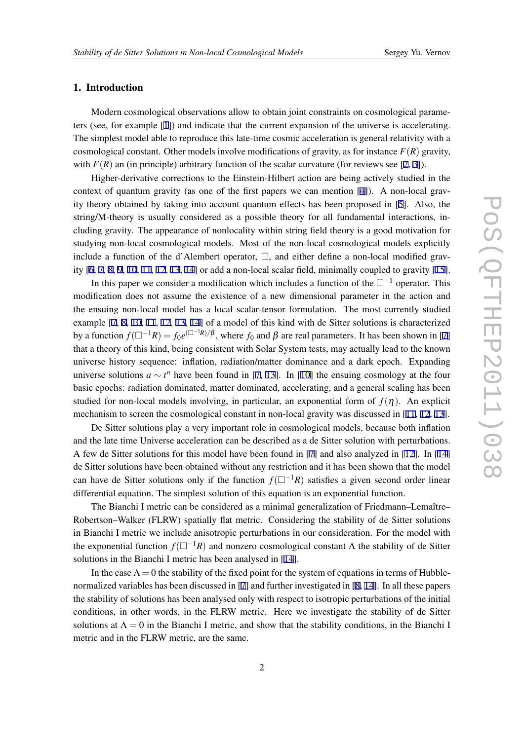# 1. Introduction

Modern cosmological observations allow to obtain joint constraints on cosmological parameters (see, for example [[1](#page-7-0)]) and indicate that the current expansion of the universe is accelerating. The simplest model able to reproduce this late-time cosmic acceleration is general relativity with a cosmological constant. Other models involve modifications of gravity, as for instance  $F(R)$  gravity, with  $F(R)$  an (in principle) arbitrary function of the scalar curvature (for reviews see [\[2,](#page-7-0) [3\]](#page-7-0)).

Higher-derivative corrections to the Einstein-Hilbert action are being actively studied in the context of quantum gravity (as one of the first papers we can mention [\[4\]](#page-7-0)). A non-local gravity theory obtained by taking into account quantum effects has been proposed in [[5](#page-7-0)]. Also, the string/M-theory is usually considered as a possible theory for all fundamental interactions, including gravity. The appearance of nonlocality within string field theory is a good motivation for studying non-local cosmological models. Most of the non-local cosmological models explicitly include a function of the d'Alembert operator,  $\Box$ , and either define a non-local modified gravity  $[6, 7, 8, 9, 10, 11, 12, 13, 14]$  $[6, 7, 8, 9, 10, 11, 12, 13, 14]$  $[6, 7, 8, 9, 10, 11, 12, 13, 14]$  $[6, 7, 8, 9, 10, 11, 12, 13, 14]$  $[6, 7, 8, 9, 10, 11, 12, 13, 14]$  $[6, 7, 8, 9, 10, 11, 12, 13, 14]$  $[6, 7, 8, 9, 10, 11, 12, 13, 14]$  $[6, 7, 8, 9, 10, 11, 12, 13, 14]$  $[6, 7, 8, 9, 10, 11, 12, 13, 14]$  $[6, 7, 8, 9, 10, 11, 12, 13, 14]$  $[6, 7, 8, 9, 10, 11, 12, 13, 14]$  $[6, 7, 8, 9, 10, 11, 12, 13, 14]$  $[6, 7, 8, 9, 10, 11, 12, 13, 14]$  $[6, 7, 8, 9, 10, 11, 12, 13, 14]$  $[6, 7, 8, 9, 10, 11, 12, 13, 14]$  $[6, 7, 8, 9, 10, 11, 12, 13, 14]$  $[6, 7, 8, 9, 10, 11, 12, 13, 14]$  or add a non-local scalar field, minimally coupled to gravity  $[15]$  $[15]$ .

In this paper we consider a modification which includes a function of the *−*<sup>1</sup> operator. This modification does not assume the existence of a new dimensional parameter in the action and the ensuing non-local model has a local scalar-tensor formulation. The most currently studied example [[7](#page-7-0), [8,](#page-7-0) [10](#page-8-0), [11](#page-8-0), [12,](#page-8-0) [13,](#page-8-0) [14](#page-8-0)] of a model of this kind with de Sitter solutions is characterized by a function  $f(\Box^{-1}R) = f_0 e^{(\Box^{-1}R)/\beta}$ , where  $f_0$  and  $\beta$  are real parameters. It has been shown in [[7](#page-7-0)] that a theory of this kind, being consistent with Solar System tests, may actually lead to the known universe history sequence: inflation, radiation/matter dominance and a dark epoch. Expanding universe solutions  $a \sim t^n$  have been found in [\[7,](#page-7-0) [13\]](#page-8-0). In [\[10](#page-8-0)] the ensuing cosmology at the four basic epochs: radiation dominated, matter dominated, accelerating, and a general scaling has been studied for non-local models involving, in particular, an exponential form of  $f(\eta)$ . An explicit mechanism to screen the cosmological constant in non-local gravity was discussed in [\[11](#page-8-0), [12](#page-8-0), [13\]](#page-8-0).

De Sitter solutions play a very important role in cosmological models, because both inflation and the late time Universe acceleration can be described as a de Sitter solution with perturbations. A few de Sitter solutions for this model have been found in [\[7\]](#page-7-0) and also analyzed in [[12\]](#page-8-0). In [\[14](#page-8-0)] de Sitter solutions have been obtained without any restriction and it has been shown that the model can have de Sitter solutions only if the function  $f(\Box^{-1}R)$  satisfies a given second order linear differential equation. The simplest solution of this equation is an exponential function.

The Bianchi I metric can be considered as a minimal generalization of Friedmann–Lemaître– Robertson–Walker (FLRW) spatially flat metric. Considering the stability of de Sitter solutions in Bianchi I metric we include anisotropic perturbations in our consideration. For the model with the exponential function  $f(\Box^{-1}R)$  and nonzero cosmological constant  $\Lambda$  the stability of de Sitter solutions in the Bianchi I metric has been analysed in [[14\]](#page-8-0).

In the case  $\Lambda = 0$  the stability of the fixed point for the system of equations in terms of Hubblenormalized variables has been discussed in [[7](#page-7-0)] and further investigated in [[8](#page-7-0), [14\]](#page-8-0). In all these papers the stability of solutions has been analysed only with respect to isotropic perturbations of the initial conditions, in other words, in the FLRW metric. Here we investigate the stability of de Sitter solutions at  $\Lambda = 0$  in the Bianchi I metric, and show that the stability conditions, in the Bianchi I metric and in the FLRW metric, are the same.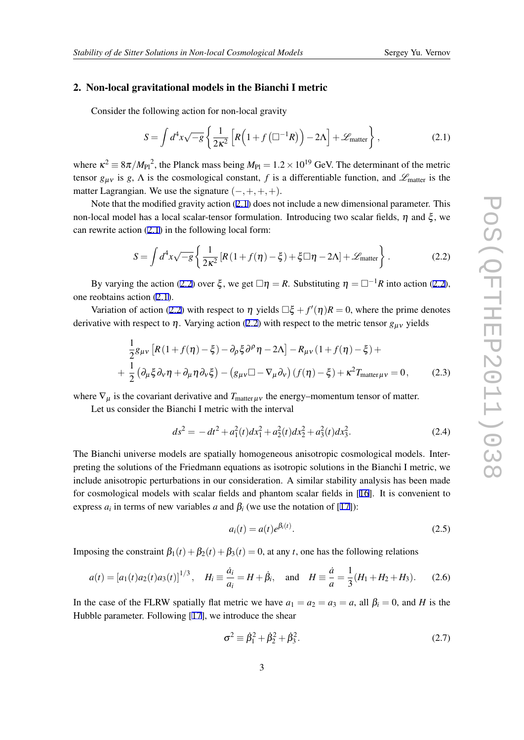### <span id="page-2-0"></span>2. Non-local gravitational models in the Bianchi I metric

Consider the following action for non-local gravity

$$
S = \int d^4x \sqrt{-g} \left\{ \frac{1}{2\kappa^2} \left[ R \left( 1 + f \left( \Box^{-1} R \right) \right) - 2\Lambda \right] + \mathcal{L}_{\text{matter}} \right\},\tag{2.1}
$$

where  $\kappa^2 \equiv 8\pi / M_{\rm Pl}{}^2$ , the Planck mass being  $M_{\rm Pl} = 1.2 \times 10^{19}$  GeV. The determinant of the metric tensor  $g_{\mu\nu}$  is *g*,  $\Lambda$  is the cosmological constant, *f* is a differentiable function, and  $\mathscr{L}_{\text{matter}}$  is the matter Lagrangian. We use the signature (*−,*+*,*+*,*+).

Note that the modified gravity action (2.1) does not include a new dimensional parameter. This non-local model has a local scalar-tensor formulation. Introducing two scalar fields,  $η$  and ξ, we can rewrite action (2.1) in the following local form:

$$
S = \int d^4x \sqrt{-g} \left\{ \frac{1}{2\kappa^2} \left[ R\left(1 + f(\eta) - \xi\right) + \xi \Box \eta - 2\Lambda \right] + \mathcal{L}_{\text{matter}} \right\}.
$$
 (2.2)

By varying the action (2.2) over  $\xi$ , we get  $\Box \eta = R$ . Substituting  $\eta = \Box^{-1}R$  into action (2.2), one reobtains action (2.1).

Variation of action (2.2) with respect to  $\eta$  yields  $\Box \xi + f'(\eta)R = 0$ , where the prime denotes derivative with respect to  $\eta$ . Varying action (2.2) with respect to the metric tensor  $g_{\mu\nu}$  yields

$$
\frac{1}{2}g_{\mu\nu}\left[R\left(1+f(\eta)-\xi\right)-\partial_{\rho}\xi\partial^{\rho}\eta-2\Lambda\right]-R_{\mu\nu}\left(1+f(\eta)-\xi\right)++\frac{1}{2}\left(\partial_{\mu}\xi\partial_{\nu}\eta+\partial_{\mu}\eta\partial_{\nu}\xi\right)-\left(g_{\mu\nu}\Box-\nabla_{\mu}\partial_{\nu}\right)\left(f(\eta)-\xi\right)+\kappa^{2}T_{\text{matter}}\mu\nu=0, \tag{2.3}
$$

where  $\nabla_{\mu}$  is the covariant derivative and  $T_{\text{matter}\mu\nu}$  the energy–momentum tensor of matter.

Let us consider the Bianchi I metric with the interval

$$
ds^{2} = -dt^{2} + a_{1}^{2}(t)dx_{1}^{2} + a_{2}^{2}(t)dx_{2}^{2} + a_{3}^{2}(t)dx_{3}^{2}.
$$
 (2.4)

The Bianchi universe models are spatially homogeneous anisotropic cosmological models. Interpreting the solutions of the Friedmann equations as isotropic solutions in the Bianchi I metric, we include anisotropic perturbations in our consideration. A similar stability analysis has been made for cosmological models with scalar fields and phantom scalar fields in [\[16](#page-8-0)]. It is convenient to express  $a_i$  in terms of new variables  $a$  and  $\beta_i$  (we use the notation of [\[17](#page-8-0)]):

$$
a_i(t) = a(t)e^{\beta_i(t)}.
$$
\n(2.5)

Imposing the constraint  $\beta_1(t) + \beta_2(t) + \beta_3(t) = 0$ , at any *t*, one has the following relations

$$
a(t) = [a_1(t)a_2(t)a_3(t)]^{1/3}, \quad H_i \equiv \frac{\dot{a}_i}{a_i} = H + \dot{\beta}_i, \quad \text{and} \quad H \equiv \frac{\dot{a}}{a} = \frac{1}{3}(H_1 + H_2 + H_3). \tag{2.6}
$$

In the case of the FLRW spatially flat metric we have  $a_1 = a_2 = a_3 = a$ , all  $\beta_i = 0$ , and *H* is the Hubble parameter. Following [\[17](#page-8-0)], we introduce the shear

$$
\sigma^2 \equiv \dot{\beta}_1^2 + \dot{\beta}_2^2 + \dot{\beta}_3^2. \tag{2.7}
$$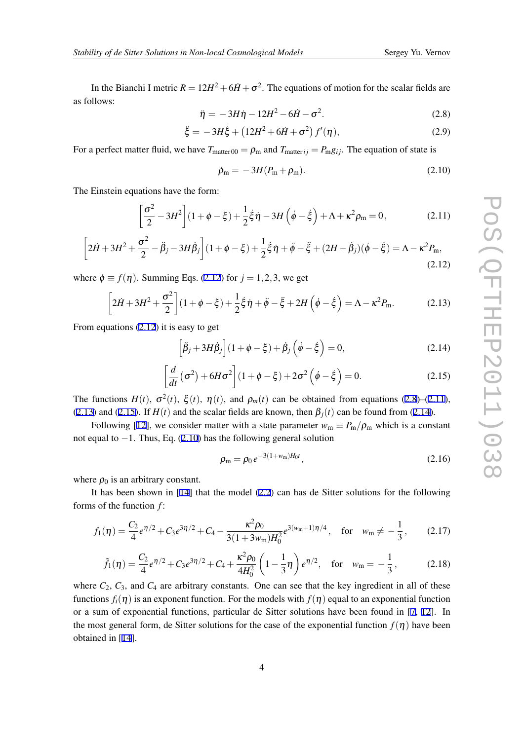<span id="page-3-0"></span>In the Bianchi I metric  $R = 12H^2 + 6\dot{H} + \sigma^2$ . The equations of motion for the scalar fields are as follows:

$$
\ddot{\eta} = -3H\dot{\eta} - 12H^2 - 6\dot{H} - \sigma^2.
$$
 (2.8)

$$
\ddot{\xi} = -3H\dot{\xi} + (12H^2 + 6\dot{H} + \sigma^2)f'(\eta),
$$
\n(2.9)

For a perfect matter fluid, we have  $T_{\text{matter 00}} = \rho_{\text{m}}$  and  $T_{\text{matter }ij} = P_{\text{m}}g_{ij}$ . The equation of state is

$$
\dot{\rho}_{\rm m} = -3H(P_{\rm m} + \rho_{\rm m}).\tag{2.10}
$$

The Einstein equations have the form:

$$
\left[\frac{\sigma^2}{2} - 3H^2\right] (1 + \phi - \xi) + \frac{1}{2} \dot{\xi} \dot{\eta} - 3H \left(\dot{\phi} - \dot{\xi}\right) + \Lambda + \kappa^2 \rho_m = 0, \tag{2.11}
$$

$$
\left[2\dot{H} + 3H^2 + \frac{\sigma^2}{2} - \ddot{\beta}_j - 3H\dot{\beta}_j\right] (1 + \phi - \xi) + \frac{1}{2}\dot{\xi}\dot{\eta} + \ddot{\phi} - \ddot{\xi} + (2H - \dot{\beta}_j)(\dot{\phi} - \dot{\xi}) = \Lambda - \kappa^2 P_{\text{m}},\tag{2.12}
$$

where  $\phi \equiv f(\eta)$ . Summing Eqs. (2.12) for  $j = 1, 2, 3$ , we get

$$
\left[2\dot{H} + 3H^2 + \frac{\sigma^2}{2}\right](1 + \phi - \xi) + \frac{1}{2}\dot{\xi}\dot{\eta} + \ddot{\phi} - \ddot{\xi} + 2H\left(\dot{\phi} - \dot{\xi}\right) = \Lambda - \kappa^2 P_{\rm m}.\tag{2.13}
$$

From equations (2.12) it is easy to get

$$
\left[\ddot{\beta}_j + 3H\dot{\beta}_j\right](1+\phi-\xi) + \dot{\beta}_j\left(\dot{\phi}-\dot{\xi}\right) = 0, \tag{2.14}
$$

$$
\left[\frac{d}{dt}\left(\sigma^2\right) + 6H\sigma^2\right](1+\phi-\xi) + 2\sigma^2\left(\dot{\phi}-\dot{\xi}\right) = 0.
$$
 (2.15)

The functions  $H(t)$ ,  $\sigma^2(t)$ ,  $\xi(t)$ ,  $\eta(t)$ , and  $\rho_m(t)$  can be obtained from equations (2.8)–(2.11), (2.13) and (2.15). If  $H(t)$  and the scalar fields are known, then  $\beta_i(t)$  can be found from (2.14).

Following [\[12](#page-8-0)], we consider matter with a state parameter  $w_m \equiv P_m/\rho_m$  which is a constant not equal to *−*1. Thus, Eq. (2.10) has the following general solution

$$
\rho_{\rm m} = \rho_0 e^{-3(1+w_{\rm m})H_0 t},\tag{2.16}
$$

where  $\rho_0$  is an arbitrary constant.

It has been shown in [\[14](#page-8-0)] that the model [\(2.2\)](#page-2-0) can has de Sitter solutions for the following forms of the function *f* :

$$
f_1(\eta) = \frac{C_2}{4} e^{\eta/2} + C_3 e^{3\eta/2} + C_4 - \frac{\kappa^2 \rho_0}{3(1 + 3w_m)H_0^2} e^{3(w_m + 1)\eta/4}, \quad \text{for} \quad w_m \neq -\frac{1}{3}, \tag{2.17}
$$

$$
\tilde{f}_1(\eta) = \frac{C_2}{4} e^{\eta/2} + C_3 e^{3\eta/2} + C_4 + \frac{\kappa^2 \rho_0}{4H_0^2} \left(1 - \frac{1}{3}\eta\right) e^{\eta/2}, \text{ for } w_m = -\frac{1}{3}, \quad (2.18)
$$

where  $C_2$ ,  $C_3$ , and  $C_4$  are arbitrary constants. One can see that the key ingredient in all of these functions  $f_i(\eta)$  is an exponent function. For the models with  $f(\eta)$  equal to an exponential function or a sum of exponential functions, particular de Sitter solutions have been found in [[7](#page-7-0), [12\]](#page-8-0). In the most general form, de Sitter solutions for the case of the exponential function  $f(\eta)$  have been obtained in [\[14](#page-8-0)].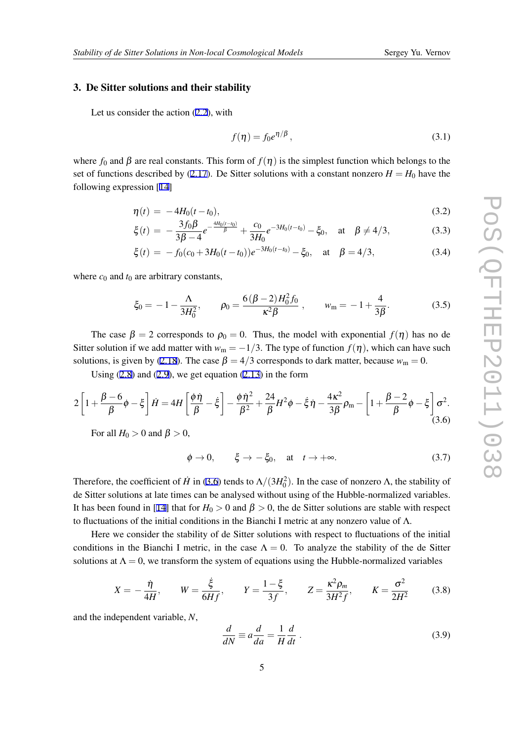### 3. De Sitter solutions and their stability

Let us consider the action [\(2.2\)](#page-2-0), with

$$
f(\eta) = f_0 e^{\eta/\beta},\tag{3.1}
$$

where  $f_0$  and  $\beta$  are real constants. This form of  $f(\eta)$  is the simplest function which belongs to the set of functions described by [\(2.17](#page-3-0)). De Sitter solutions with a constant nonzero  $H = H_0$  have the following expression [\[14\]](#page-8-0)

$$
\eta(t) = -4H_0(t - t_0),\tag{3.2}
$$

$$
\xi(t) = -\frac{3f_0\beta}{3\beta - 4}e^{-\frac{4H_0(t - t_0)}{\beta}} + \frac{c_0}{3H_0}e^{-3H_0(t - t_0)} - \xi_0, \quad \text{at} \quad \beta \neq 4/3,
$$
 (3.3)

$$
\xi(t) = -f_0(c_0 + 3H_0(t - t_0))e^{-3H_0(t - t_0)} - \xi_0, \quad \text{at} \quad \beta = 4/3,
$$
\n(3.4)

where  $c_0$  and  $t_0$  are arbitrary constants,

$$
\xi_0 = -1 - \frac{\Lambda}{3H_0^2}, \qquad \rho_0 = \frac{6(\beta - 2)H_0^2 f_0}{\kappa^2 \beta} , \qquad w_m = -1 + \frac{4}{3\beta}.
$$
 (3.5)

The case  $\beta = 2$  corresponds to  $\rho_0 = 0$ . Thus, the model with exponential  $f(\eta)$  has no de Sitter solution if we add matter with  $w_m = -1/3$ . The type of function  $f(\eta)$ , which can have such solutions, is given by ([2.18](#page-3-0)). The case  $\beta = 4/3$  corresponds to dark matter, because  $w_m = 0$ .

Using  $(2.8)$  and  $(2.9)$ , we get equation  $(2.13)$  $(2.13)$  in the form

$$
2\left[1+\frac{\beta-6}{\beta}\phi-\xi\right]\dot{H}=4H\left[\frac{\phi\dot{\eta}}{\beta}-\dot{\xi}\right]-\frac{\phi\dot{\eta}^2}{\beta^2}+\frac{24}{\beta}H^2\phi-\dot{\xi}\dot{\eta}-\frac{4\kappa^2}{3\beta}\rho_m-\left[1+\frac{\beta-2}{\beta}\phi-\xi\right]\sigma^2.\tag{3.6}
$$

For all  $H_0 > 0$  and  $\beta > 0$ ,

$$
\phi \to 0, \qquad \xi \to -\xi_0, \quad \text{at} \quad t \to +\infty. \tag{3.7}
$$

Therefore, the coefficient of *H* in (3.6) tends to  $\Lambda/(3H_0^2)$ . In the case of nonzero  $\Lambda$ , the stability of de Sitter solutions at late times can be analysed without using of the Hubble-normalized variables. It has been found in [[14\]](#page-8-0) that for  $H_0 > 0$  and  $\beta > 0$ , the de Sitter solutions are stable with respect to fluctuations of the initial conditions in the Bianchi I metric at any nonzero value of  $\Lambda$ .

Here we consider the stability of de Sitter solutions with respect to fluctuations of the initial conditions in the Bianchi I metric, in the case  $\Lambda = 0$ . To analyze the stability of the de Sitter solutions at  $\Lambda = 0$ , we transform the system of equations using the Hubble-normalized variables

$$
X = -\frac{\dot{\eta}}{4H}
$$
,  $W = \frac{\dot{\xi}}{6Hf}$ ,  $Y = \frac{1-\xi}{3f}$ ,  $Z = \frac{\kappa^2 \rho_m}{3H^2f}$ ,  $K = \frac{\sigma^2}{2H^2}$  (3.8)

and the independent variable, *N*,

$$
\frac{d}{dN} \equiv a \frac{d}{da} = \frac{1}{H} \frac{d}{dt} \,. \tag{3.9}
$$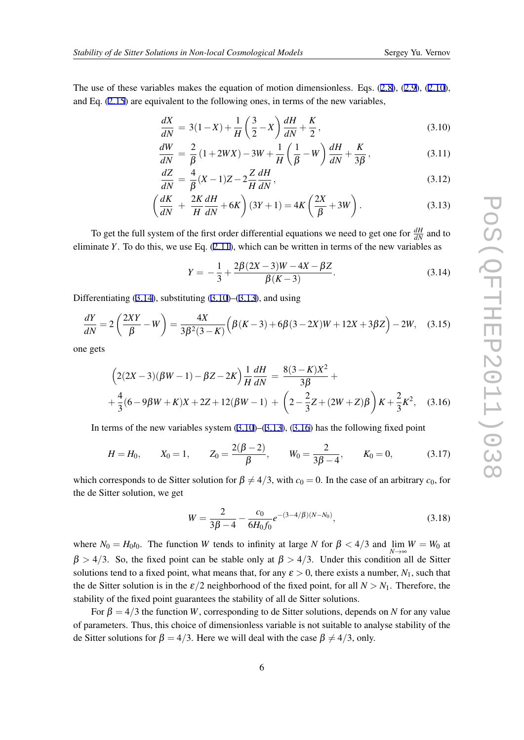<span id="page-5-0"></span>The use of these variables makes the equation of motion dimensionless. Eqs. [\(2.8](#page-3-0)), [\(2.9](#page-3-0)), [\(2.10\)](#page-3-0), and Eq. [\(2.15](#page-3-0)) are equivalent to the following ones, in terms of the new variables,

$$
\frac{dX}{dN} = 3(1-X) + \frac{1}{H}\left(\frac{3}{2}-X\right)\frac{dH}{dN} + \frac{K}{2},\tag{3.10}
$$

$$
\frac{dW}{dN} = \frac{2}{\beta} \left( 1 + 2WX \right) - 3W + \frac{1}{H} \left( \frac{1}{\beta} - W \right) \frac{dH}{dN} + \frac{K}{3\beta},\tag{3.11}
$$

$$
\frac{dZ}{dN} = \frac{4}{\beta}(X-1)Z - 2\frac{Z}{H}\frac{dH}{dN},\tag{3.12}
$$

$$
\left(\frac{dK}{dN} + \frac{2K}{H}\frac{dH}{dN} + 6K\right)(3Y+1) = 4K\left(\frac{2X}{\beta} + 3W\right). \tag{3.13}
$$

To get the full system of the first order differential equations we need to get one for  $\frac{dH}{dN}$  and to eliminate *Y*. To do this, we use Eq. [\(2.11\)](#page-3-0), which can be written in terms of the new variables as

$$
Y = -\frac{1}{3} + \frac{2\beta(2X - 3)W - 4X - \beta Z}{\beta(K - 3)}.
$$
\n(3.14)

Differentiating  $(3.14)$ , substituting  $(3.10)$ – $(3.13)$ , and using

$$
\frac{dY}{dN} = 2\left(\frac{2XY}{\beta} - W\right) = \frac{4X}{3\beta^2(3 - K)}\left(\beta(K - 3) + 6\beta(3 - 2X)W + 12X + 3\beta Z\right) - 2W,\tag{3.15}
$$

one gets

$$
\left(2(2X-3)(\beta W-1) - \beta Z - 2K\right) \frac{1}{H} \frac{dH}{dN} = \frac{8(3-K)X^2}{3\beta} +
$$
  
 
$$
+\frac{4}{3}(6-9\beta W+K)X + 2Z + 12(\beta W-1) + \left(2 - \frac{2}{3}Z + (2W+Z)\beta\right)K + \frac{2}{3}K^2, \quad (3.16)
$$

In terms of the new variables system  $(3.10)$ – $(3.13)$ ,  $(3.16)$  has the following fixed point

$$
H = H_0
$$
,  $X_0 = 1$ ,  $Z_0 = \frac{2(\beta - 2)}{\beta}$ ,  $W_0 = \frac{2}{3\beta - 4}$ ,  $K_0 = 0$ , (3.17)

which corresponds to de Sitter solution for  $\beta \neq 4/3$ , with  $c_0 = 0$ . In the case of an arbitrary  $c_0$ , for the de Sitter solution, we get

$$
W = \frac{2}{3\beta - 4} - \frac{c_0}{6H_0f_0}e^{-(3-4/\beta)(N-N_0)},
$$
\n(3.18)

where  $N_0 = H_0 t_0$ . The function *W* tends to infinity at large *N* for  $\beta < 4/3$  and  $\lim_{M \to \infty} W = W_0$  at *N→*∞  $\beta$  > 4/3. So, the fixed point can be stable only at  $\beta$  > 4/3. Under this condition all de Sitter solutions tend to a fixed point, what means that, for any  $\varepsilon > 0$ , there exists a number,  $N_1$ , such that the de Sitter solution is in the  $\epsilon/2$  neighborhood of the fixed point, for all  $N > N_1$ . Therefore, the stability of the fixed point guarantees the stability of all de Sitter solutions.

For  $\beta = 4/3$  the function *W*, corresponding to de Sitter solutions, depends on *N* for any value of parameters. Thus, this choice of dimensionless variable is not suitable to analyse stability of the de Sitter solutions for  $\beta = 4/3$ . Here we will deal with the case  $\beta \neq 4/3$ , only.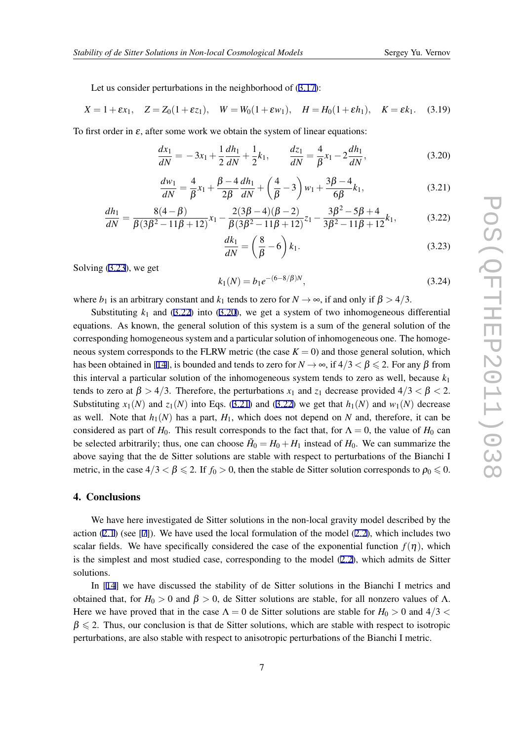Let us consider perturbations in the neighborhood of [\(3.17](#page-5-0)):

$$
X = 1 + \varepsilon x_1
$$
,  $Z = Z_0(1 + \varepsilon z_1)$ ,  $W = W_0(1 + \varepsilon w_1)$ ,  $H = H_0(1 + \varepsilon h_1)$ ,  $K = \varepsilon k_1$ . (3.19)

To first order in  $\varepsilon$ , after some work we obtain the system of linear equations:

$$
\frac{dx_1}{dN} = -3x_1 + \frac{1}{2}\frac{dh_1}{dN} + \frac{1}{2}k_1, \qquad \frac{dz_1}{dN} = \frac{4}{\beta}x_1 - 2\frac{dh_1}{dN},\tag{3.20}
$$

$$
\frac{dw_1}{dN} = \frac{4}{\beta}x_1 + \frac{\beta - 4}{2\beta}\frac{dh_1}{dN} + \left(\frac{4}{\beta} - 3\right)w_1 + \frac{3\beta - 4}{6\beta}k_1,\tag{3.21}
$$

$$
\frac{dh_1}{dN} = \frac{8(4-\beta)}{\beta(3\beta^2 - 11\beta + 12)}x_1 - \frac{2(3\beta - 4)(\beta - 2)}{\beta(3\beta^2 - 11\beta + 12)}z_1 - \frac{3\beta^2 - 5\beta + 4}{3\beta^2 - 11\beta + 12}k_1,\tag{3.22}
$$

$$
\frac{dk_1}{dN} = \left(\frac{8}{\beta} - 6\right)k_1.
$$
\n(3.23)

Solving (3.23), we get

$$
k_1(N) = b_1 e^{-(6-8/\beta)N},\tag{3.24}
$$

where *b*<sub>1</sub> is an arbitrary constant and *k*<sub>1</sub> tends to zero for  $N \rightarrow \infty$ , if and only if  $\beta > 4/3$ .

Substituting  $k_1$  and (3.22) into (3.20), we get a system of two inhomogeneous differential equations. As known, the general solution of this system is a sum of the general solution of the corresponding homogeneous system and a particular solution of inhomogeneous one. The homogeneous system corresponds to the FLRW metric (the case  $K = 0$ ) and those general solution, which has been obtained in [\[14](#page-8-0)], is bounded and tends to zero for  $N \to \infty$ , if  $4/3 < \beta \le 2$ . For any  $\beta$  from this interval a particular solution of the inhomogeneous system tends to zero as well, because  $k_1$ tends to zero at  $\beta > 4/3$ . Therefore, the perturbations  $x_1$  and  $z_1$  decrease provided  $4/3 < \beta < 2$ . Substituting  $x_1(N)$  and  $z_1(N)$  into Eqs. (3.21) and (3.22) we get that  $h_1(N)$  and  $w_1(N)$  decrease as well. Note that  $h_1(N)$  has a part,  $H_1$ , which does not depend on N and, therefore, it can be considered as part of *H*<sub>0</sub>. This result corresponds to the fact that, for  $\Lambda = 0$ , the value of *H*<sub>0</sub> can be selected arbitrarily; thus, one can choose  $H_0 = H_0 + H_1$  instead of  $H_0$ . We can summarize the above saying that the de Sitter solutions are stable with respect to perturbations of the Bianchi I metric, in the case  $4/3 < \beta \le 2$ . If  $f_0 > 0$ , then the stable de Sitter solution corresponds to  $\rho_0 \le 0$ .

### 4. Conclusions

We have here investigated de Sitter solutions in the non-local gravity model described by the action  $(2.1)$  $(2.1)$  $(2.1)$  (see [\[7\]](#page-7-0)). We have used the local formulation of the model  $(2.2)$ , which includes two scalar fields. We have specifically considered the case of the exponential function  $f(\eta)$ , which is the simplest and most studied case, corresponding to the model ([2.2\)](#page-2-0), which admits de Sitter solutions.

In [[14\]](#page-8-0) we have discussed the stability of de Sitter solutions in the Bianchi I metrics and obtained that, for  $H_0 > 0$  and  $β > 0$ , de Sitter solutions are stable, for all nonzero values of Λ. Here we have proved that in the case  $\Lambda = 0$  de Sitter solutions are stable for  $H_0 > 0$  and  $4/3 <$  $\beta \leq 2$ . Thus, our conclusion is that de Sitter solutions, which are stable with respect to isotropic perturbations, are also stable with respect to anisotropic perturbations of the Bianchi I metric.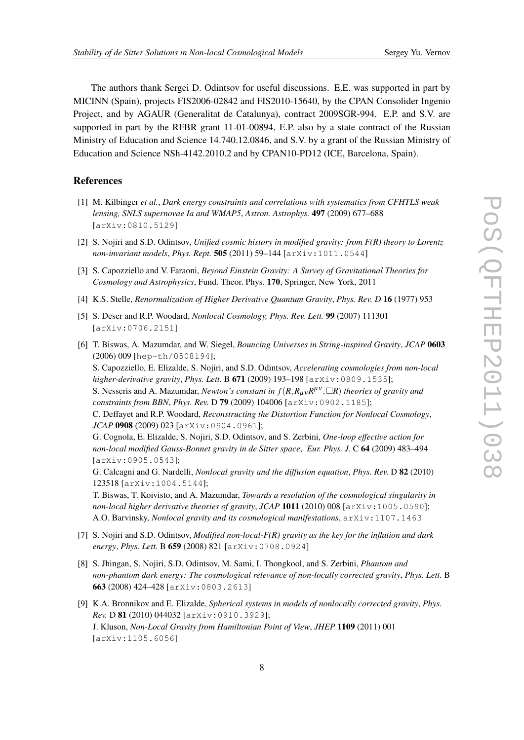<span id="page-7-0"></span>The authors thank Sergei D. Odintsov for useful discussions. E.E. was supported in part by MICINN (Spain), projects FIS2006-02842 and FIS2010-15640, by the CPAN Consolider Ingenio Project, and by AGAUR (Generalitat de Catalunya), contract 2009SGR-994. E.P. and S.V. are supported in part by the RFBR grant 11-01-00894, E.P. also by a state contract of the Russian Ministry of Education and Science 14.740.12.0846, and S.V. by a grant of the Russian Ministry of Education and Science NSh-4142.2010.2 and by CPAN10-PD12 (ICE, Barcelona, Spain).

## **References**

- [1] M. Kilbinger *et al.*, *Dark energy constraints and correlations with systematics from CFHTLS weak lensing, SNLS supernovae Ia and WMAP5*, *Astron. Astrophys.* 497 (2009) 677–688 [arXiv:0810.5129]
- [2] S. Nojiri and S.D. Odintsov, *Unified cosmic history in modified gravity: from F(R) theory to Lorentz non-invariant models*, *Phys. Rept.* 505 (2011) 59–144 [arXiv:1011.0544]
- [3] S. Capozziello and V. Faraoni, *Beyond Einstein Gravity: A Survey of Gravitational Theories for Cosmology and Astrophysics*, Fund. Theor. Phys. 170, Springer, New York, 2011
- [4] K.S. Stelle, *Renormalization of Higher Derivative Quantum Gravity*, *Phys. Rev. D* 16 (1977) 953
- [5] S. Deser and R.P. Woodard, *Nonlocal Cosmology, Phys. Rev. Lett.* 99 (2007) 111301 [arXiv:0706.2151]
- [6] T. Biswas, A. Mazumdar, and W. Siegel, *Bouncing Universes in String-inspired Gravity*, *JCAP* 0603 (2006) 009 [hep-th/0508194];

S. Capozziello, E. Elizalde, S. Nojiri, and S.D. Odintsov, *Accelerating cosmologies from non-local higher-derivative gravity*, *Phys. Lett.* B 671 (2009) 193–198 [arXiv:0809.1535];

S. Nesseris and A. Mazumdar, *Newton's constant in*  $f(R, R_{\mu\nu}R^{\mu\nu}, \Box R)$  *theories of gravity and constraints from BBN*, *Phys. Rev.* D 79 (2009) 104006 [arXiv:0902.1185];

C. Deffayet and R.P. Woodard, *Reconstructing the Distortion Function for Nonlocal Cosmology*, *JCAP* 0908 (2009) 023 [arXiv:0904.0961];

G. Cognola, E. Elizalde, S. Nojiri, S.D. Odintsov, and S. Zerbini, *One-loop effective action for non-local modified Gauss-Bonnet gravity in de Sitter space*, *Eur. Phys. J.* C 64 (2009) 483–494 [arXiv:0905.0543];

G. Calcagni and G. Nardelli, *Nonlocal gravity and the diffusion equation*, *Phys. Rev.* D 82 (2010) 123518 [arXiv:1004.5144];

T. Biswas, T. Koivisto, and A. Mazumdar, *Towards a resolution of the cosmological singularity in non-local higher derivative theories of gravity*, *JCAP* 1011 (2010) 008 [arXiv:1005.0590]; A.O. Barvinsky, *Nonlocal gravity and its cosmological manifestations*, arXiv:1107.1463

- [7] S. Nojiri and S.D. Odintsov, *Modified non-local-F(R) gravity as the key for the inflation and dark energy*, *Phys. Lett.* B 659 (2008) 821 [arXiv:0708.0924]
- [8] S. Jhingan, S. Nojiri, S.D. Odintsov, M. Sami, I. Thongkool, and S. Zerbini, *Phantom and non-phantom dark energy: The cosmological relevance of non-locally corrected gravity*, *Phys. Lett.* B 663 (2008) 424–428 [arXiv:0803.2613]
- [9] K.A. Bronnikov and E. Elizalde, *Spherical systems in models of nonlocally corrected gravity*, *Phys. Rev.* D 81 (2010) 044032 [arXiv:0910.3929]; J. Kluson, *Non-Local Gravity from Hamiltonian Point of View*, *JHEP* 1109 (2011) 001 [arXiv:1105.6056]